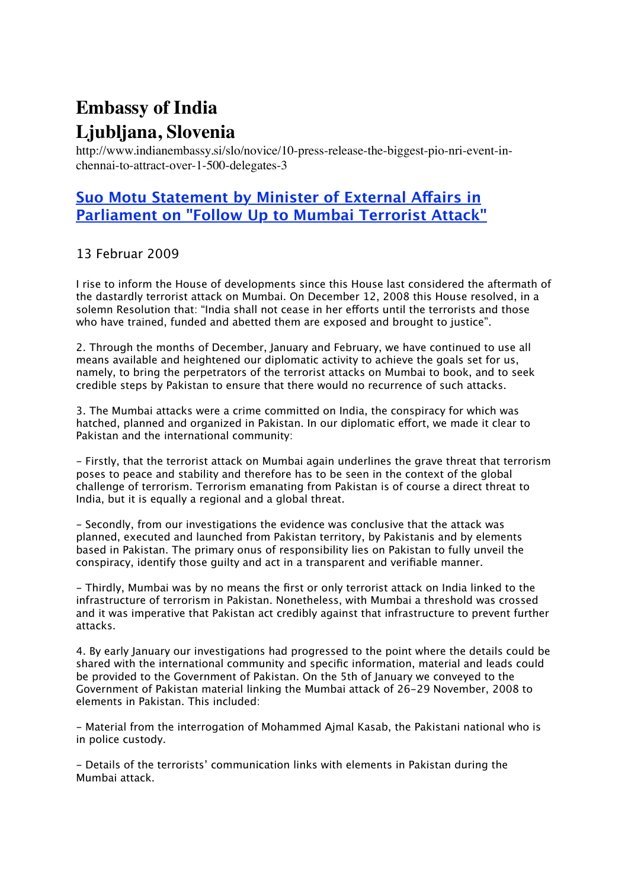## **Embassy of India Ljubljana, Slovenia**

http://www.indianembassy.si/slo/novice/10-press-release-the-biggest-pio-nri-event-inchennai-to-attract-over-1-500-delegates-3

## **[Suo Motu Statement by Minister of External A](http://www.indianembassy.si/slo/novice/10-press-release-the-biggest-pio-nri-event-in-chennai-to-attract-over-1-500-delegates-3)fairs in [Parliament on "Follow Up to Mumbai Terrorist Attack"](http://www.indianembassy.si/slo/novice/10-press-release-the-biggest-pio-nri-event-in-chennai-to-attract-over-1-500-delegates-3)**

## 13 Februar 2009

I rise to inform the House of developments since this House last considered the aftermath of the dastardly terrorist attack on Mumbai. On December 12, 2008 this House resolved, in a solemn Resolution that: "India shall not cease in her efforts until the terrorists and those who have trained, funded and abetted them are exposed and brought to justice".

2. Through the months of December, January and February, we have continued to use all means available and heightened our diplomatic activity to achieve the goals set for us, namely, to bring the perpetrators of the terrorist attacks on Mumbai to book, and to seek credible steps by Pakistan to ensure that there would no recurrence of such attacks.

3. The Mumbai attacks were a crime committed on India, the conspiracy for which was hatched, planned and organized in Pakistan. In our diplomatic efort, we made it clear to Pakistan and the international community:

- Firstly, that the terrorist attack on Mumbai again underlines the grave threat that terrorism poses to peace and stability and therefore has to be seen in the context of the global challenge of terrorism. Terrorism emanating from Pakistan is of course a direct threat to India, but it is equally a regional and a global threat.

- Secondly, from our investigations the evidence was conclusive that the attack was planned, executed and launched from Pakistan territory, by Pakistanis and by elements based in Pakistan. The primary onus of responsibility lies on Pakistan to fully unveil the conspiracy, identify those guilty and act in a transparent and verifiable manner.

- Thirdly, Mumbai was by no means the first or only terrorist attack on India linked to the infrastructure of terrorism in Pakistan. Nonetheless, with Mumbai a threshold was crossed and it was imperative that Pakistan act credibly against that infrastructure to prevent further attacks.

4. By early January our investigations had progressed to the point where the details could be shared with the international community and specific information, material and leads could be provided to the Government of Pakistan. On the 5th of January we conveyed to the Government of Pakistan material linking the Mumbai attack of 26-29 November, 2008 to elements in Pakistan. This included:

- Material from the interrogation of Mohammed Ajmal Kasab, the Pakistani national who is in police custody.

- Details of the terrorists' communication links with elements in Pakistan during the Mumbai attack.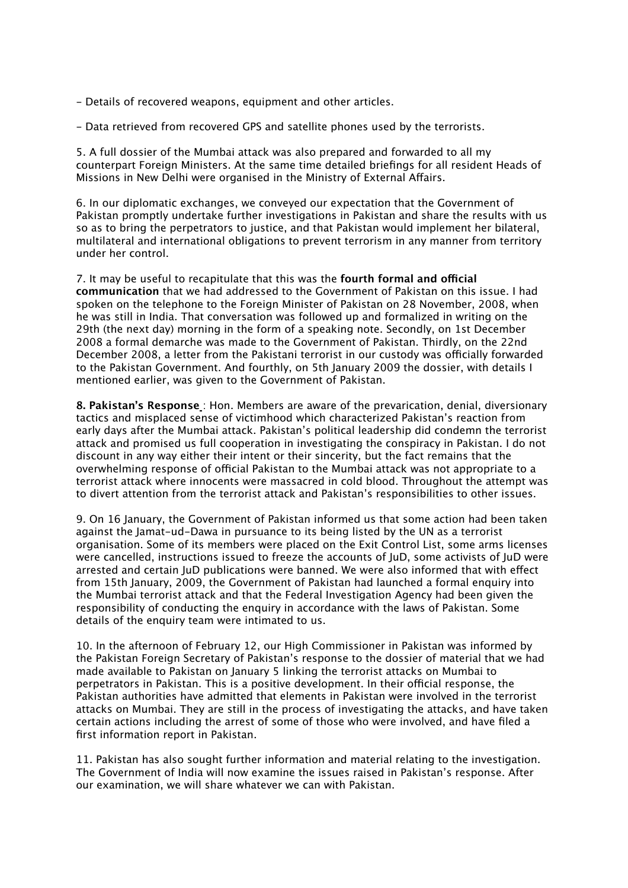- Details of recovered weapons, equipment and other articles.

- Data retrieved from recovered GPS and satellite phones used by the terrorists.

5. A full dossier of the Mumbai attack was also prepared and forwarded to all my counterpart Foreign Ministers. At the same time detailed briefings for all resident Heads of Missions in New Delhi were organised in the Ministry of External Afairs.

6. In our diplomatic exchanges, we conveyed our expectation that the Government of Pakistan promptly undertake further investigations in Pakistan and share the results with us so as to bring the perpetrators to justice, and that Pakistan would implement her bilateral, multilateral and international obligations to prevent terrorism in any manner from territory under her control.

7. It may be useful to recapitulate that this was the **fourth formal and ofcial communication** that we had addressed to the Government of Pakistan on this issue. I had spoken on the telephone to the Foreign Minister of Pakistan on 28 November, 2008, when he was still in India. That conversation was followed up and formalized in writing on the 29th (the next day) morning in the form of a speaking note. Secondly, on 1st December 2008 a formal demarche was made to the Government of Pakistan. Thirdly, on the 22nd December 2008, a letter from the Pakistani terrorist in our custody was officially forwarded to the Pakistan Government. And fourthly, on 5th January 2009 the dossier, with details I mentioned earlier, was given to the Government of Pakistan.

**8. Pakistan's Response** : Hon. Members are aware of the prevarication, denial, diversionary tactics and misplaced sense of victimhood which characterized Pakistan's reaction from early days after the Mumbai attack. Pakistan's political leadership did condemn the terrorist attack and promised us full cooperation in investigating the conspiracy in Pakistan. I do not discount in any way either their intent or their sincerity, but the fact remains that the overwhelming response of official Pakistan to the Mumbai attack was not appropriate to a terrorist attack where innocents were massacred in cold blood. Throughout the attempt was to divert attention from the terrorist attack and Pakistan's responsibilities to other issues.

9. On 16 January, the Government of Pakistan informed us that some action had been taken against the Jamat-ud-Dawa in pursuance to its being listed by the UN as a terrorist organisation. Some of its members were placed on the Exit Control List, some arms licenses were cancelled, instructions issued to freeze the accounts of JuD, some activists of JuD were arrested and certain JuD publications were banned. We were also informed that with efect from 15th January, 2009, the Government of Pakistan had launched a formal enquiry into the Mumbai terrorist attack and that the Federal Investigation Agency had been given the responsibility of conducting the enquiry in accordance with the laws of Pakistan. Some details of the enquiry team were intimated to us.

10. In the afternoon of February 12, our High Commissioner in Pakistan was informed by the Pakistan Foreign Secretary of Pakistan's response to the dossier of material that we had made available to Pakistan on January 5 linking the terrorist attacks on Mumbai to perpetrators in Pakistan. This is a positive development. In their official response, the Pakistan authorities have admitted that elements in Pakistan were involved in the terrorist attacks on Mumbai. They are still in the process of investigating the attacks, and have taken certain actions including the arrest of some of those who were involved, and have filed a first information report in Pakistan.

11. Pakistan has also sought further information and material relating to the investigation. The Government of India will now examine the issues raised in Pakistan's response. After our examination, we will share whatever we can with Pakistan.